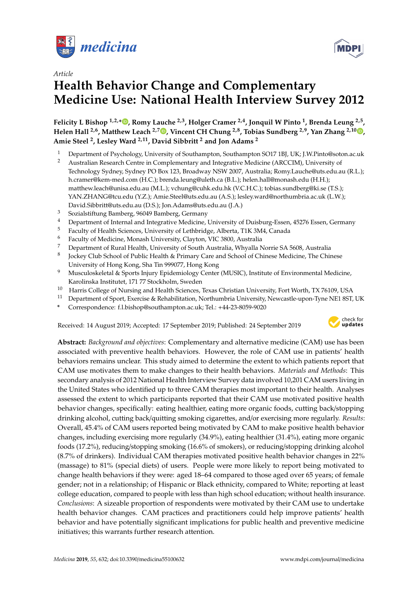



# **Health Behavior Change and Complementary Medicine Use: National Health Interview Survey 2012**

**Felicity L Bishop 1,2,\* [,](https://orcid.org/0000-0002-8737-6662) Romy Lauche 2,3, Holger Cramer 2,4, Jonquil W Pinto <sup>1</sup> , Brenda Leung 2,5 , Helen Hall 2,6, Matthew Leach 2,7 [,](https://orcid.org/0000-0003-3133-1913) Vincent CH Chung 2,8, Tobias Sundberg 2,9, Yan Zhang 2,1[0](https://orcid.org/0000-0001-6490-6133) , Amie Steel <sup>2</sup> , Lesley Ward 2,11, David Sibbritt <sup>2</sup> and Jon Adams <sup>2</sup>**

- <sup>1</sup> Department of Psychology, University of Southampton, Southampton SO17 1BJ, UK; J.W.Pinto@soton.ac.uk
- <sup>2</sup> Australian Research Centre in Complementary and Integrative Medicine (ARCCIM), University of Technology Sydney, Sydney PO Box 123, Broadway NSW 2007, Australia; Romy.Lauche@uts.edu.au (R.L.); h.cramer@kem-med.com (H.C.); brenda.leung@uleth.ca (B.L.); helen.hall@monash.edu (H.H.); matthew.leach@unisa.edu.au (M.L.); vchung@cuhk.edu.hk (V.C.H.C.); tobias.sundberg@ki.se (T.S.); YAN.ZHANG@tcu.edu (Y.Z.); Amie.Steel@uts.edu.au (A.S.); lesley.ward@northumbria.ac.uk (L.W.); David.Sibbritt@uts.edu.au (D.S.); Jon.Adams@uts.edu.au (J.A.)
- <sup>3</sup> Sozialstiftung Bamberg, 96049 Bamberg, Germany
- <sup>4</sup> Department of Internal and Integrative Medicine, University of Duisburg-Essen, 45276 Essen, Germany
- <sup>5</sup> Faculty of Health Sciences, University of Lethbridge, Alberta, T1K 3M4, Canada
- <sup>6</sup> Faculty of Medicine, Monash University, Clayton, VIC 3800, Australia
- <sup>7</sup> Department of Rural Health, University of South Australia, Whyalla Norrie SA 5608, Australia
- 8 Jockey Club School of Public Health & Primary Care and School of Chinese Medicine, The Chinese University of Hong Kong, Sha Tin 999077, Hong Kong
- <sup>9</sup> Musculoskeletal & Sports Injury Epidemiology Center (MUSIC), Institute of Environmental Medicine, Karolinska Institutet, 171 77 Stockholm, Sweden
- <sup>10</sup> Harris College of Nursing and Health Sciences, Texas Christian University, Fort Worth, TX 76109, USA
- <sup>11</sup> Department of Sport, Exercise & Rehabilitation, Northumbria University, Newcastle-upon-Tyne NE1 8ST, UK
- **\*** Correspondence: f.l.bishop@southampton.ac.uk; Tel.: +44-23-8059-9020

Received: 14 August 2019; Accepted: 17 September 2019; Published: 24 September 2019



**Abstract:** *Background and objectives*: Complementary and alternative medicine (CAM) use has been associated with preventive health behaviors. However, the role of CAM use in patients' health behaviors remains unclear. This study aimed to determine the extent to which patients report that CAM use motivates them to make changes to their health behaviors. *Materials and Methods*: This secondary analysis of 2012 National Health Interview Survey data involved 10,201 CAM users living in the United States who identified up to three CAM therapies most important to their health. Analyses assessed the extent to which participants reported that their CAM use motivated positive health behavior changes, specifically: eating healthier, eating more organic foods, cutting back/stopping drinking alcohol, cutting back/quitting smoking cigarettes, and/or exercising more regularly. *Results*: Overall, 45.4% of CAM users reported being motivated by CAM to make positive health behavior changes, including exercising more regularly (34.9%), eating healthier (31.4%), eating more organic foods (17.2%), reducing/stopping smoking (16.6% of smokers), or reducing/stopping drinking alcohol (8.7% of drinkers). Individual CAM therapies motivated positive health behavior changes in 22% (massage) to 81% (special diets) of users. People were more likely to report being motivated to change health behaviors if they were: aged 18–64 compared to those aged over 65 years; of female gender; not in a relationship; of Hispanic or Black ethnicity, compared to White; reporting at least college education, compared to people with less than high school education; without health insurance. *Conclusions*: A sizeable proportion of respondents were motivated by their CAM use to undertake health behavior changes. CAM practices and practitioners could help improve patients' health behavior and have potentially significant implications for public health and preventive medicine initiatives; this warrants further research attention.

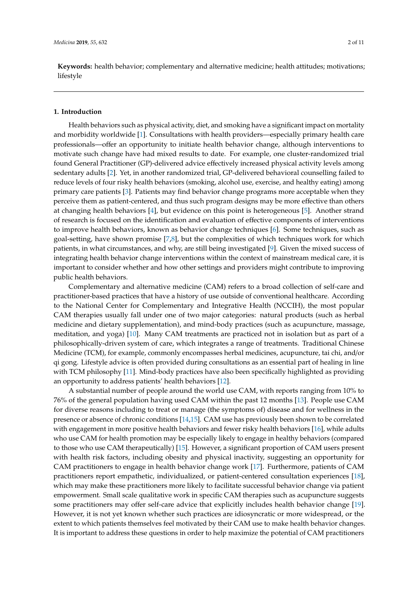**Keywords:** health behavior; complementary and alternative medicine; health attitudes; motivations; lifestyle

# **1. Introduction**

Health behaviors such as physical activity, diet, and smoking have a significant impact on mortality and morbidity worldwide [\[1\]](#page-8-0). Consultations with health providers—especially primary health care professionals—offer an opportunity to initiate health behavior change, although interventions to motivate such change have had mixed results to date. For example, one cluster-randomized trial found General Practitioner (GP)-delivered advice effectively increased physical activity levels among sedentary adults [\[2\]](#page-8-1). Yet, in another randomized trial, GP-delivered behavioral counselling failed to reduce levels of four risky health behaviors (smoking, alcohol use, exercise, and healthy eating) among primary care patients [\[3\]](#page-9-0). Patients may find behavior change programs more acceptable when they perceive them as patient-centered, and thus such program designs may be more effective than others at changing health behaviors [\[4\]](#page-9-1), but evidence on this point is heterogeneous [\[5\]](#page-9-2). Another strand of research is focused on the identification and evaluation of effective components of interventions to improve health behaviors, known as behavior change techniques [\[6\]](#page-9-3). Some techniques, such as goal-setting, have shown promise [\[7](#page-9-4)[,8\]](#page-9-5), but the complexities of which techniques work for which patients, in what circumstances, and why, are still being investigated [\[9\]](#page-9-6). Given the mixed success of integrating health behavior change interventions within the context of mainstream medical care, it is important to consider whether and how other settings and providers might contribute to improving public health behaviors.

Complementary and alternative medicine (CAM) refers to a broad collection of self-care and practitioner-based practices that have a history of use outside of conventional healthcare. According to the National Center for Complementary and Integrative Health (NCCIH), the most popular CAM therapies usually fall under one of two major categories: natural products (such as herbal medicine and dietary supplementation), and mind-body practices (such as acupuncture, massage, meditation, and yoga) [\[10\]](#page-9-7). Many CAM treatments are practiced not in isolation but as part of a philosophically-driven system of care, which integrates a range of treatments. Traditional Chinese Medicine (TCM), for example, commonly encompasses herbal medicines, acupuncture, tai chi, and/or qi gong. Lifestyle advice is often provided during consultations as an essential part of healing in line with TCM philosophy [\[11\]](#page-9-8). Mind-body practices have also been specifically highlighted as providing an opportunity to address patients' health behaviors [\[12\]](#page-9-9).

A substantial number of people around the world use CAM, with reports ranging from 10% to 76% of the general population having used CAM within the past 12 months [\[13\]](#page-9-10). People use CAM for diverse reasons including to treat or manage (the symptoms of) disease and for wellness in the presence or absence of chronic conditions [\[14](#page-9-11)[,15\]](#page-9-12). CAM use has previously been shown to be correlated with engagement in more positive health behaviors and fewer risky health behaviors [\[16\]](#page-9-13), while adults who use CAM for health promotion may be especially likely to engage in healthy behaviors (compared to those who use CAM therapeutically) [\[15\]](#page-9-12). However, a significant proportion of CAM users present with health risk factors, including obesity and physical inactivity, suggesting an opportunity for CAM practitioners to engage in health behavior change work [\[17\]](#page-9-14). Furthermore, patients of CAM practitioners report empathetic, individualized, or patient-centered consultation experiences [\[18\]](#page-9-15), which may make these practitioners more likely to facilitate successful behavior change via patient empowerment. Small scale qualitative work in specific CAM therapies such as acupuncture suggests some practitioners may offer self-care advice that explicitly includes health behavior change [\[19\]](#page-9-16). However, it is not yet known whether such practices are idiosyncratic or more widespread, or the extent to which patients themselves feel motivated by their CAM use to make health behavior changes. It is important to address these questions in order to help maximize the potential of CAM practitioners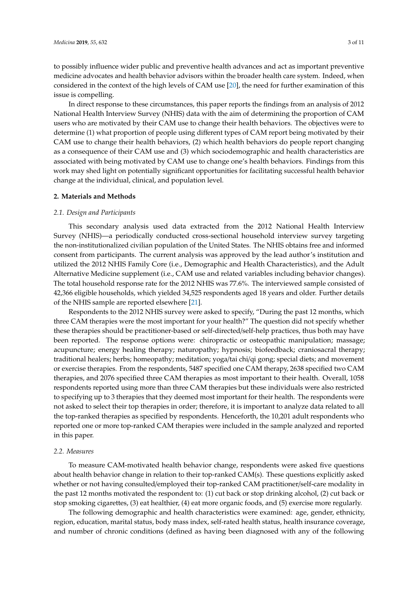to possibly influence wider public and preventive health advances and act as important preventive medicine advocates and health behavior advisors within the broader health care system. Indeed, when considered in the context of the high levels of CAM use [\[20\]](#page-9-17), the need for further examination of this issue is compelling.

In direct response to these circumstances, this paper reports the findings from an analysis of 2012 National Health Interview Survey (NHIS) data with the aim of determining the proportion of CAM users who are motivated by their CAM use to change their health behaviors. The objectives were to determine (1) what proportion of people using different types of CAM report being motivated by their CAM use to change their health behaviors, (2) which health behaviors do people report changing as a consequence of their CAM use and (3) which sociodemographic and health characteristics are associated with being motivated by CAM use to change one's health behaviors. Findings from this work may shed light on potentially significant opportunities for facilitating successful health behavior change at the individual, clinical, and population level.

### **2. Materials and Methods**

# *2.1. Design and Participants*

This secondary analysis used data extracted from the 2012 National Health Interview Survey (NHIS)—a periodically conducted cross-sectional household interview survey targeting the non-institutionalized civilian population of the United States. The NHIS obtains free and informed consent from participants. The current analysis was approved by the lead author's institution and utilized the 2012 NHIS Family Core (i.e., Demographic and Health Characteristics), and the Adult Alternative Medicine supplement (i.e., CAM use and related variables including behavior changes). The total household response rate for the 2012 NHIS was 77.6%. The interviewed sample consisted of 42,366 eligible households, which yielded 34,525 respondents aged 18 years and older. Further details of the NHIS sample are reported elsewhere [\[21\]](#page-9-18).

Respondents to the 2012 NHIS survey were asked to specify, "During the past 12 months, which three CAM therapies were the most important for your health?" The question did not specify whether these therapies should be practitioner-based or self-directed/self-help practices, thus both may have been reported. The response options were: chiropractic or osteopathic manipulation; massage; acupuncture; energy healing therapy; naturopathy; hypnosis; biofeedback; craniosacral therapy; traditional healers; herbs; homeopathy; meditation; yoga/tai chi/qi gong; special diets; and movement or exercise therapies. From the respondents, 5487 specified one CAM therapy, 2638 specified two CAM therapies, and 2076 specified three CAM therapies as most important to their health. Overall, 1058 respondents reported using more than three CAM therapies but these individuals were also restricted to specifying up to 3 therapies that they deemed most important for their health. The respondents were not asked to select their top therapies in order; therefore, it is important to analyze data related to all the top-ranked therapies as specified by respondents. Henceforth, the 10,201 adult respondents who reported one or more top-ranked CAM therapies were included in the sample analyzed and reported in this paper.

#### *2.2. Measures*

To measure CAM-motivated health behavior change, respondents were asked five questions about health behavior change in relation to their top-ranked CAM(s). These questions explicitly asked whether or not having consulted/employed their top-ranked CAM practitioner/self-care modality in the past 12 months motivated the respondent to: (1) cut back or stop drinking alcohol, (2) cut back or stop smoking cigarettes, (3) eat healthier, (4) eat more organic foods, and (5) exercise more regularly.

The following demographic and health characteristics were examined: age, gender, ethnicity, region, education, marital status, body mass index, self-rated health status, health insurance coverage, and number of chronic conditions (defined as having been diagnosed with any of the following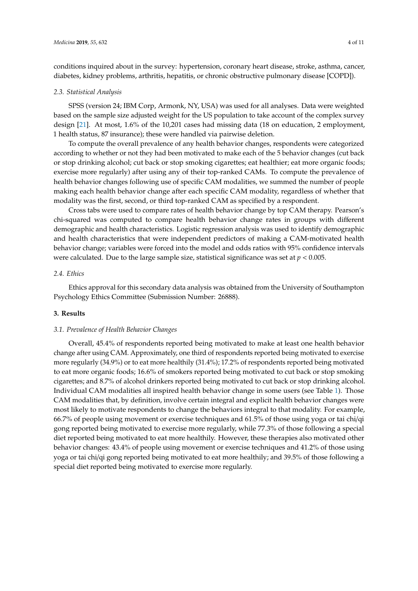conditions inquired about in the survey: hypertension, coronary heart disease, stroke, asthma, cancer, diabetes, kidney problems, arthritis, hepatitis, or chronic obstructive pulmonary disease [COPD]).

#### *2.3. Statistical Analysis*

SPSS (version 24; IBM Corp, Armonk, NY, USA) was used for all analyses. Data were weighted based on the sample size adjusted weight for the US population to take account of the complex survey design [\[21\]](#page-9-18). At most, 1.6% of the 10,201 cases had missing data (18 on education, 2 employment, 1 health status, 87 insurance); these were handled via pairwise deletion.

To compute the overall prevalence of any health behavior changes, respondents were categorized according to whether or not they had been motivated to make each of the 5 behavior changes (cut back or stop drinking alcohol; cut back or stop smoking cigarettes; eat healthier; eat more organic foods; exercise more regularly) after using any of their top-ranked CAMs. To compute the prevalence of health behavior changes following use of specific CAM modalities, we summed the number of people making each health behavior change after each specific CAM modality, regardless of whether that modality was the first, second, or third top-ranked CAM as specified by a respondent.

Cross tabs were used to compare rates of health behavior change by top CAM therapy. Pearson's chi-squared was computed to compare health behavior change rates in groups with different demographic and health characteristics. Logistic regression analysis was used to identify demographic and health characteristics that were independent predictors of making a CAM-motivated health behavior change; variables were forced into the model and odds ratios with 95% confidence intervals were calculated. Due to the large sample size, statistical significance was set at  $p < 0.005$ .

# *2.4. Ethics*

Ethics approval for this secondary data analysis was obtained from the University of Southampton Psychology Ethics Committee (Submission Number: 26888).

# **3. Results**

# *3.1. Prevalence of Health Behavior Changes*

Overall, 45.4% of respondents reported being motivated to make at least one health behavior change after using CAM. Approximately, one third of respondents reported being motivated to exercise more regularly (34.9%) or to eat more healthily (31.4%); 17.2% of respondents reported being motivated to eat more organic foods; 16.6% of smokers reported being motivated to cut back or stop smoking cigarettes; and 8.7% of alcohol drinkers reported being motivated to cut back or stop drinking alcohol. Individual CAM modalities all inspired health behavior change in some users (see Table [1\)](#page-4-0). Those CAM modalities that, by definition, involve certain integral and explicit health behavior changes were most likely to motivate respondents to change the behaviors integral to that modality. For example, 66.7% of people using movement or exercise techniques and 61.5% of those using yoga or tai chi/qi gong reported being motivated to exercise more regularly, while 77.3% of those following a special diet reported being motivated to eat more healthily. However, these therapies also motivated other behavior changes: 43.4% of people using movement or exercise techniques and 41.2% of those using yoga or tai chi/qi gong reported being motivated to eat more healthily; and 39.5% of those following a special diet reported being motivated to exercise more regularly.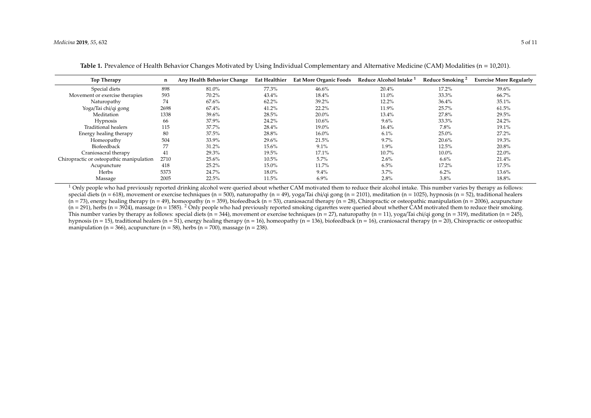| <b>Top Therapy</b>                       | n    | Any Health Behavior Change | Eat Healthier | <b>Eat More Organic Foods</b> | Reduce Alcohol Intake <sup>1</sup> | Reduce Smoking <sup>2</sup> | <b>Exercise More Regularly</b> |
|------------------------------------------|------|----------------------------|---------------|-------------------------------|------------------------------------|-----------------------------|--------------------------------|
| Special diets                            | 898  | 81.0%                      | 77.3%         | 46.6%                         | 20.4%                              | 17.2%                       | 39.6%                          |
| Movement or exercise therapies           | 593  | 70.2%                      | 43.4%         | 18.4%                         | 11.0%                              | 33.3%                       | 66.7%                          |
| Naturopathy                              | 74   | $67.6\%$                   | $62.2\%$      | 39.2%                         | 12.2%                              | 36.4%                       | 35.1%                          |
| Yoga/Tai chi/qi gong                     | 2698 | $67.4\%$                   | 41.2%         | $22.2\%$                      | 11.9%                              | 25.7%                       | 61.5%                          |
| Meditation                               | 1338 | 39.6%                      | 28.5%         | 20.0%                         | 13.4%                              | 27.8%                       | 29.5%                          |
| Hypnosis                                 | 66   | 37.9%                      | 24.2%         | $10.6\%$                      | 9.6%                               | 33.3%                       | 24.2%                          |
| Traditional healers                      | 115  | 37.7%                      | 28.4%         | 19.0%                         | 16.4%                              | 7.8%                        | 19.1%                          |
| Energy healing therapy                   | 80   | 37.5%                      | 28.8%         | $16.0\%$                      | 6.1%                               | 25.0%                       | 27.2%                          |
| Homeopathy                               | 504  | 33.9%                      | 29.6%         | 21.5%                         | 9.7%                               | 20.6%                       | 19.3%                          |
| Biofeedback                              | 77   | $31.2\%$                   | $15.6\%$      | 9.1%                          | 1.9%                               | 12.5%                       | 20.8%                          |
| Craniosacral therapy                     | 41   | 29.3%                      | 19.5%         | 17.1%                         | 10.7%                              | 10.0%                       | 22.0%                          |
| Chiropractic or osteopathic manipulation | 2710 | 25.6%                      | $10.5\%$      | $5.7\%$                       | 2.6%                               | $6.6\%$                     | 21.4%                          |
| Acupuncture                              | 418  | 25.2%                      | 15.0%         | 11.7%                         | 6.5%                               | 17.2%                       | 17.5%                          |
| Herbs                                    | 5373 | 24.7%                      | 18.0%         | $9.4\%$                       | 3.7%                               | $6.2\%$                     | 13.6%                          |
| Massage                                  | 2005 | 22.5%                      | 11.5%         | $6.9\%$                       | 2.8%                               | 3.8%                        | 18.8%                          |

Table 1. Prevalence of Health Behavior Changes Motivated by Using Individual Complementary and Alternative Medicine (CAM) Modalities (n = 10,201).

<span id="page-4-0"></span> $1$  Only people who had previously reported drinking alcohol were queried about whether CAM motivated them to reduce their alcohol intake. This number varies by therapy as follows: special diets (n = 618), movement or exercise techniques (n = 500), naturopathy (n = 49), yoga/Tai chi/qi gong (n = 2101), meditation (n = 1025), hypnosis (n = 52), traditional healers  $(n = 73)$ , energy healing therapy (n = 49), homeopathy (n = 359), biofeedback (n = 53), craniosacral therapy (n = 28), Chiropractic or osteopathic manipulation (n = 2006), acupuncture  $(n = 291)$ , herbs  $(n = 3924)$ , massage  $(n = 1585)$ . <sup>2</sup> Only people who had previously reported smoking cigarettes were queried about whether CAM motivated them to reduce their smoking. This number varies by therapy as follows: special diets (n = 344), movement or exercise techniques (n = 27), naturopathy (n = 11), yoga/Tai chi/qi gong (n = 319), meditation (n = 245), hypnosis (n = 15), traditional healers (n = 51), energy healing therapy (n = 16), homeopathy (n = 136), biofeedback (n = 16), craniosacral therapy (n = 20), Chiropractic or osteopathic manipulation (n = 366), acupuncture (n = 58), herbs (n = 700), massage (n = 238).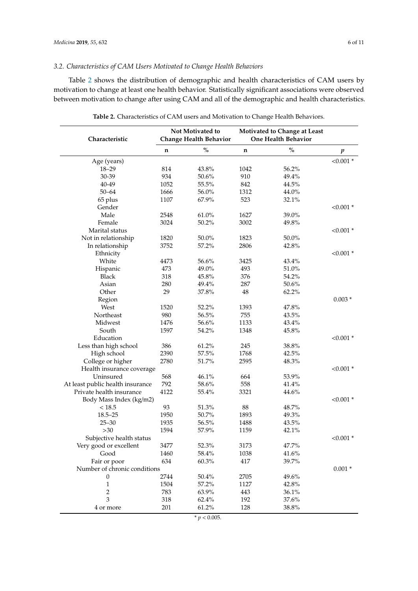# *3.2. Characteristics of CAM Users Motivated to Change Health Behaviors*

Table [2](#page-5-0) shows the distribution of demographic and health characteristics of CAM users by motivation to change at least one health behavior. Statistically significant associations were observed between motivation to change after using CAM and all of the demographic and health characteristics.

<span id="page-5-0"></span>

| Characteristic                   | Not Motivated to<br><b>Change Health Behavior</b> |          | Motivated to Change at Least<br>One Health Behavior |       |                  |
|----------------------------------|---------------------------------------------------|----------|-----------------------------------------------------|-------|------------------|
|                                  | n                                                 | $\%$     | $\mathbf n$                                         | $\%$  | $\boldsymbol{p}$ |
| Age (years)                      |                                                   |          |                                                     |       | $< 0.001$ *      |
| $18 - 29$                        | 814                                               | 43.8%    | 1042                                                | 56.2% |                  |
| 30-39                            | 934                                               | 50.6%    | 910                                                 | 49.4% |                  |
| 40-49                            | 1052                                              | 55.5%    | 842                                                 | 44.5% |                  |
| $50 - 64$                        | 1666                                              | 56.0%    | 1312                                                | 44.0% |                  |
| 65 plus                          | 1107                                              | 67.9%    | 523                                                 | 32.1% |                  |
| Gender                           |                                                   |          |                                                     |       | $< 0.001$ *      |
| Male                             | 2548                                              | $61.0\%$ | 1627                                                | 39.0% |                  |
| Female                           | 3024                                              | 50.2%    | 3002                                                | 49.8% |                  |
| Marital status                   |                                                   |          |                                                     |       | $< 0.001$ *      |
| Not in relationship              | 1820                                              | 50.0%    | 1823                                                | 50.0% |                  |
| In relationship                  | 3752                                              | 57.2%    | 2806                                                | 42.8% |                  |
| Ethnicity                        |                                                   |          |                                                     |       | $< 0.001$ *      |
| White                            | 4473                                              | 56.6%    | 3425                                                | 43.4% |                  |
| Hispanic                         | 473                                               | 49.0%    | 493                                                 | 51.0% |                  |
| Black                            | 318                                               | 45.8%    | 376                                                 | 54.2% |                  |
| Asian                            | 280                                               | 49.4%    | 287                                                 | 50.6% |                  |
| Other                            | 29                                                | 37.8%    | 48                                                  | 62.2% |                  |
| Region                           |                                                   |          |                                                     |       | $0.003*$         |
| West                             | 1520                                              | 52.2%    | 1393                                                | 47.8% |                  |
| Northeast                        | 980                                               | 56.5%    | 755                                                 | 43.5% |                  |
| Midwest                          | 1476                                              | 56.6%    | 1133                                                | 43.4% |                  |
| South                            | 1597                                              | 54.2%    | 1348                                                | 45.8% |                  |
| Education                        |                                                   |          |                                                     |       | $< 0.001$ *      |
| Less than high school            | 386                                               | 61.2%    | 245                                                 | 38.8% |                  |
| High school                      | 2390                                              | 57.5%    | 1768                                                | 42.5% |                  |
| College or higher                | 2780                                              | 51.7%    | 2595                                                | 48.3% |                  |
| Health insurance coverage        |                                                   |          |                                                     |       | $< 0.001$ *      |
| Uninsured                        | 568                                               | 46.1%    | 664                                                 | 53.9% |                  |
| At least public health insurance | 792                                               | 58.6%    | 558                                                 | 41.4% |                  |
| Private health insurance         | 4122                                              | 55.4%    | 3321                                                | 44.6% |                  |
| Body Mass Index (kg/m2)          |                                                   |          |                                                     |       | $< 0.001$ *      |
| < 18.5                           | 93                                                | 51.3%    | 88                                                  | 48.7% |                  |
| $18.5 - 25$                      | 1950                                              | 50.7%    | 1893                                                | 49.3% |                  |
| $25 - 30$                        | 1935                                              | 56.5%    | 1488                                                | 43.5% |                  |
| $>30$                            | 1594                                              | 57.9%    | 1159                                                | 42.1% |                  |
| Subjective health status         |                                                   |          |                                                     |       | $< 0.001$ *      |
| Very good or excellent           | 3477                                              | 52.3%    | 3173                                                | 47.7% |                  |
| Good                             | 1460                                              | 58.4%    | 1038                                                | 41.6% |                  |
| Fair or poor                     | 634                                               | 60.3%    | 417                                                 | 39.7% |                  |
| Number of chronic conditions     |                                                   |          |                                                     |       | $0.001 *$        |
| 0                                | 2744                                              | 50.4%    | 2705                                                | 49.6% |                  |
| $\mathbf{1}$                     | 1504                                              | 57.2%    | 1127                                                | 42.8% |                  |
| $\overline{2}$                   | 783                                               | 63.9%    | 443                                                 | 36.1% |                  |
| 3                                | 318                                               | 62.4%    | 192                                                 | 37.6% |                  |
| 4 or more                        | 201                                               | 61.2%    | 128                                                 | 38.8% |                  |

**Table 2.** Characteristics of CAM users and Motivation to Change Health Behaviors.

 $* p < 0.005$ .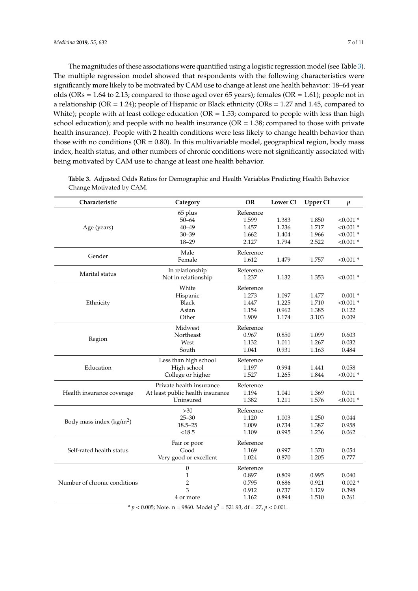The magnitudes of these associations were quantified using a logistic regression model (see Table [3\)](#page-6-0). The multiple regression model showed that respondents with the following characteristics were significantly more likely to be motivated by CAM use to change at least one health behavior: 18–64 year olds (ORs = 1.64 to 2.13; compared to those aged over 65 years); females (OR = 1.61); people not in a relationship (OR = 1.24); people of Hispanic or Black ethnicity (ORs = 1.27 and 1.45, compared to White); people with at least college education ( $OR = 1.53$ ; compared to people with less than high school education); and people with no health insurance ( $OR = 1.38$ ; compared to those with private health insurance). People with 2 health conditions were less likely to change health behavior than those with no conditions ( $OR = 0.80$ ). In this multivariable model, geographical region, body mass index, health status, and other numbers of chronic conditions were not significantly associated with being motivated by CAM use to change at least one health behavior.

| Characteristic               | Category                         | <b>OR</b> | <b>Lower CI</b> | <b>Upper CI</b> | $\boldsymbol{p}$ |
|------------------------------|----------------------------------|-----------|-----------------|-----------------|------------------|
|                              | 65 plus                          | Reference |                 |                 |                  |
|                              | $50 - 64$                        | 1.599     | 1.383           | 1.850           | $< 0.001$ *      |
| Age (years)                  | $40 - 49$                        | 1.457     | 1.236           | 1.717           | $< 0.001$ *      |
|                              | $30 - 39$                        | 1.662     | 1.404           | 1.966           | $< 0.001$ *      |
|                              | $18 - 29$                        | 2.127     | 1.794           | 2.522           | $< 0.001$ *      |
| Gender                       | Male                             | Reference |                 |                 |                  |
|                              | Female                           | 1.612     | 1.479           | 1.757           | $< 0.001$ *      |
| Marital status               | In relationship                  | Reference |                 |                 |                  |
|                              | Not in relationship              | 1.237     | 1.132           | 1.353           | $< 0.001$ *      |
|                              | White                            | Reference |                 |                 |                  |
|                              | Hispanic                         | 1.273     | 1.097           | 1.477           | $0.001*$         |
| Ethnicity                    | <b>Black</b>                     | 1.447     | 1.225           | 1.710           | $< 0.001$ *      |
|                              | Asian                            | 1.154     | 0.962           | 1.385           | 0.122            |
|                              | Other                            | 1.909     | 1.174           | 3.103           | 0.009            |
|                              | Midwest                          | Reference |                 |                 |                  |
|                              | Northeast                        | 0.967     | 0.850           | 1.099           | 0.603            |
| Region                       | West                             | 1.132     | 1.011           | 1.267           | 0.032            |
|                              | South                            | 1.041     | 0.931           | 1.163           | 0.484            |
|                              | Less than high school            | Reference |                 |                 |                  |
| Education                    | High school                      | 1.197     | 0.994           | 1.441           | 0.058            |
|                              | College or higher                | 1.527     | 1.265           | 1.844           | $< 0.001$ *      |
|                              | Private health insurance         | Reference |                 |                 |                  |
| Health insurance coverage    | At least public health insurance | 1.194     | 1.041           | 1.369           | 0.011            |
|                              | Uninsured                        | 1.382     | 1.211           | 1.576           | $< 0.001$ *      |
|                              | $>30$                            | Reference |                 |                 |                  |
|                              | $25 - 30$                        | 1.120     | 1.003           | 1.250           | 0.044            |
| Body mass index $(kg/m2)$    | $18.5 - 25$                      | 1.009     | 0.734           | 1.387           | 0.958            |
|                              | < 18.5                           | 1.109     | 0.995           | 1.236           | 0.062            |
|                              | Fair or poor                     | Reference |                 |                 |                  |
| Self-rated health status     | Good                             | 1.169     | 0.997           | 1.370           | 0.054            |
|                              | Very good or excellent           | 1.024     | 0.870           | 1.205           | 0.777            |
|                              | $\theta$                         | Reference |                 |                 |                  |
|                              | $\mathbf{1}$                     | 0.897     | 0.809           | 0.995           | 0.040            |
| Number of chronic conditions | $\overline{2}$                   | 0.795     | 0.686           | 0.921           | $0.002*$         |
|                              | 3                                | 0.912     | 0.737           | 1.129           | 0.398            |
|                              | 4 or more                        | 1.162     | 0.894           | 1.510           | 0.261            |

<span id="page-6-0"></span>**Table 3.** Adjusted Odds Ratios for Demographic and Health Variables Predicting Health Behavior Change Motivated by CAM.

 $p < 0.005$ ; Note. n = 9860. Model  $\chi^2 = 521.93$ , df = 27, p < 0.001.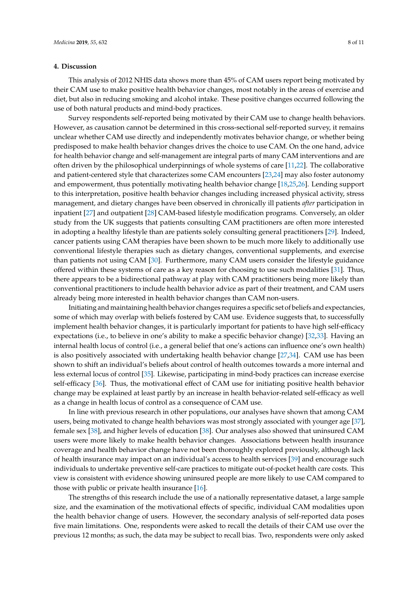### **4. Discussion**

This analysis of 2012 NHIS data shows more than 45% of CAM users report being motivated by their CAM use to make positive health behavior changes, most notably in the areas of exercise and diet, but also in reducing smoking and alcohol intake. These positive changes occurred following the use of both natural products and mind-body practices.

Survey respondents self-reported being motivated by their CAM use to change health behaviors. However, as causation cannot be determined in this cross-sectional self-reported survey, it remains unclear whether CAM use directly and independently motivates behavior change, or whether being predisposed to make health behavior changes drives the choice to use CAM. On the one hand, advice for health behavior change and self-management are integral parts of many CAM interventions and are often driven by the philosophical underpinnings of whole systems of care [\[11](#page-9-8)[,22\]](#page-10-0). The collaborative and patient-centered style that characterizes some CAM encounters [\[23](#page-10-1)[,24\]](#page-10-2) may also foster autonomy and empowerment, thus potentially motivating health behavior change [\[18,](#page-9-15)[25,](#page-10-3)[26\]](#page-10-4). Lending support to this interpretation, positive health behavior changes including increased physical activity, stress management, and dietary changes have been observed in chronically ill patients *after* participation in inpatient [\[27\]](#page-10-5) and outpatient [\[28\]](#page-10-6) CAM-based lifestyle modification programs. Conversely, an older study from the UK suggests that patients consulting CAM practitioners are often more interested in adopting a healthy lifestyle than are patients solely consulting general practitioners [\[29\]](#page-10-7). Indeed, cancer patients using CAM therapies have been shown to be much more likely to additionally use conventional lifestyle therapies such as dietary changes, conventional supplements, and exercise than patients not using CAM [\[30\]](#page-10-8). Furthermore, many CAM users consider the lifestyle guidance offered within these systems of care as a key reason for choosing to use such modalities [\[31\]](#page-10-9). Thus, there appears to be a bidirectional pathway at play with CAM practitioners being more likely than conventional practitioners to include health behavior advice as part of their treatment, and CAM users already being more interested in health behavior changes than CAM non-users.

Initiating and maintaining health behavior changes requires a specific set of beliefs and expectancies, some of which may overlap with beliefs fostered by CAM use. Evidence suggests that, to successfully implement health behavior changes, it is particularly important for patients to have high self-efficacy expectations (i.e., to believe in one's ability to make a specific behavior change) [\[32,](#page-10-10)[33\]](#page-10-11). Having an internal health locus of control (i.e., a general belief that one's actions can influence one's own health) is also positively associated with undertaking health behavior change [\[27](#page-10-5)[,34\]](#page-10-12). CAM use has been shown to shift an individual's beliefs about control of health outcomes towards a more internal and less external locus of control [\[35\]](#page-10-13). Likewise, participating in mind-body practices can increase exercise self-efficacy [\[36\]](#page-10-14). Thus, the motivational effect of CAM use for initiating positive health behavior change may be explained at least partly by an increase in health behavior-related self-efficacy as well as a change in health locus of control as a consequence of CAM use.

In line with previous research in other populations, our analyses have shown that among CAM users, being motivated to change health behaviors was most strongly associated with younger age [\[37\]](#page-10-15), female sex [\[38\]](#page-10-16), and higher levels of education [\[38\]](#page-10-16). Our analyses also showed that uninsured CAM users were more likely to make health behavior changes. Associations between health insurance coverage and health behavior change have not been thoroughly explored previously, although lack of health insurance may impact on an individual's access to health services [\[39\]](#page-10-17) and encourage such individuals to undertake preventive self-care practices to mitigate out-of-pocket health care costs. This view is consistent with evidence showing uninsured people are more likely to use CAM compared to those with public or private health insurance [\[16\]](#page-9-13).

The strengths of this research include the use of a nationally representative dataset, a large sample size, and the examination of the motivational effects of specific, individual CAM modalities upon the health behavior change of users. However, the secondary analysis of self-reported data poses five main limitations. One, respondents were asked to recall the details of their CAM use over the previous 12 months; as such, the data may be subject to recall bias. Two, respondents were only asked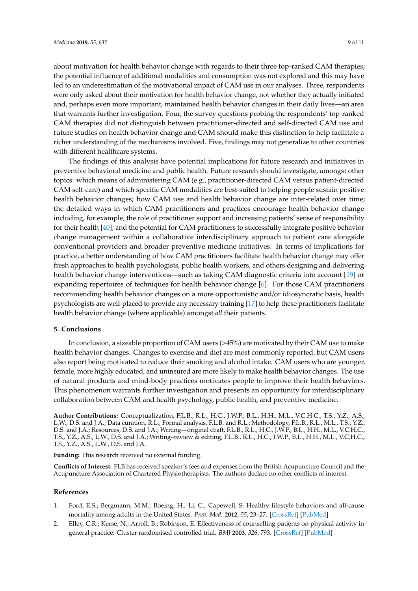about motivation for health behavior change with regards to their three top-ranked CAM therapies; the potential influence of additional modalities and consumption was not explored and this may have led to an underestimation of the motivational impact of CAM use in our analyses. Three, respondents were only asked about their motivation for health behavior change, not whether they actually initiated and, perhaps even more important, maintained health behavior changes in their daily lives—an area that warrants further investigation. Four, the survey questions probing the respondents' top-ranked CAM therapies did not distinguish between practitioner-directed and self-directed CAM use and future studies on health behavior change and CAM should make this distinction to help facilitate a richer understanding of the mechanisms involved. Five, findings may not generalize to other countries with different healthcare systems.

The findings of this analysis have potential implications for future research and initiatives in preventive behavioral medicine and public health. Future research should investigate, amongst other topics: which means of administering CAM (e.g., practitioner-directed CAM versus patient-directed CAM self-care) and which specific CAM modalities are best-suited to helping people sustain positive health behavior changes; how CAM use and health behavior change are inter-related over time; the detailed ways in which CAM practitioners and practices encourage health behavior change including, for example, the role of practitioner support and increasing patients' sense of responsibility for their health [\[40\]](#page-10-18); and the potential for CAM practitioners to successfully integrate positive behavior change management within a collaborative interdisciplinary approach to patient care alongside conventional providers and broader preventive medicine initiatives. In terms of implications for practice, a better understanding of how CAM practitioners facilitate health behavior change may offer fresh approaches to health psychologists, public health workers, and others designing and delivering health behavior change interventions—such as taking CAM diagnostic criteria into account [\[19\]](#page-9-16) or expanding repertoires of techniques for health behavior change [\[6\]](#page-9-3). For those CAM practitioners recommending health behavior changes on a more opportunistic and/or idiosyncratic basis, health psychologists are well-placed to provide any necessary training [\[17\]](#page-9-14) to help these practitioners facilitate health behavior change (where applicable) amongst *all* their patients.

# **5. Conclusions**

In conclusion, a sizeable proportion of CAM users (>45%) are motivated by their CAM use to make health behavior changes. Changes to exercise and diet are most commonly reported, but CAM users also report being motivated to reduce their smoking and alcohol intake. CAM users who are younger, female, more highly educated, and uninsured are more likely to make health behavior changes. The use of natural products and mind-body practices motivates people to improve their health behaviors. This phenomenon warrants further investigation and presents an opportunity for interdisciplinary collaboration between CAM and health psychology, public health, and preventive medicine.

**Author Contributions:** Conceptualization, F.L.B., R.L., H.C., J.W.P., B.L., H.H., M.L., V.C.H.C., T.S., Y.Z., A.S., L.W., D.S. and J.A.; Data curation, R.L.; Formal analysis, F.L.B. and R.L.; Methodology, F.L.B., R.L., M.L., T.S., Y.Z., D.S. and J.A.; Resources, D.S. and J.A.; Writing—original draft, F.L.B., R.L., H.C., J.W.P., B.L., H.H., M.L., V.C.H.C., T.S., Y.Z., A.S., L.W., D.S. and J.A.; Writing–review & editing, F.L.B., R.L., H.C., J.W.P., B.L., H.H., M.L., V.C.H.C., T.S., Y.Z., A.S., L.W., D.S. and J.A.

**Funding:** This research received no external funding.

**Conflicts of Interest:** FLB has received speaker's fees and expenses from the British Acupuncture Council and the Acupuncture Association of Chartered Physiotherapists. The authors declare no other conflicts of interest.

#### **References**

- <span id="page-8-0"></span>1. Ford, E.S.; Bergmann, M.M.; Boeing, H.; Li, C.; Capewell, S. Healthy lifestyle behaviors and all-cause mortality among adults in the United States. *Prev. Med.* **2012**, *55*, 23–27. [\[CrossRef\]](http://dx.doi.org/10.1016/j.ypmed.2012.04.016) [\[PubMed\]](http://www.ncbi.nlm.nih.gov/pubmed/22564893)
- <span id="page-8-1"></span>2. Elley, C.R.; Kerse, N.; Arroll, B.; Robinson, E. Effectiveness of counselling patients on physical activity in general practice: Cluster randomised controlled trial. *BMJ* **2003**, *326*, 793. [\[CrossRef\]](http://dx.doi.org/10.1136/bmj.326.7393.793) [\[PubMed\]](http://www.ncbi.nlm.nih.gov/pubmed/12689976)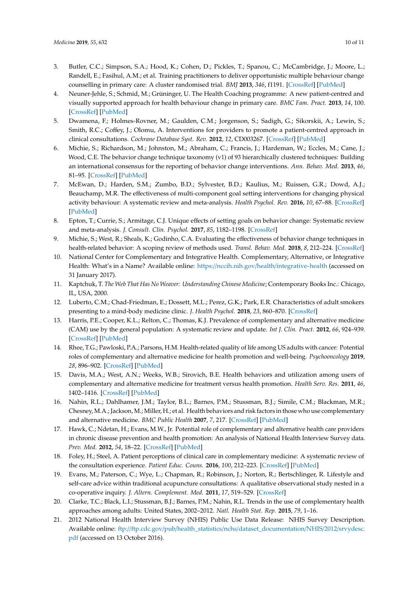- <span id="page-9-0"></span>3. Butler, C.C.; Simpson, S.A.; Hood, K.; Cohen, D.; Pickles, T.; Spanou, C.; McCambridge, J.; Moore, L.; Randell, E.; Fasihul, A.M.; et al. Training practitioners to deliver opportunistic multiple behaviour change counselling in primary care: A cluster randomised trial. *BMJ* **2013**, *346*, f1191. [\[CrossRef\]](http://dx.doi.org/10.1136/bmj.f1191) [\[PubMed\]](http://www.ncbi.nlm.nih.gov/pubmed/23512758)
- <span id="page-9-1"></span>4. Neuner-Jehle, S.; Schmid, M.; Grüninger, U. The Health Coaching programme: A new patient-centred and visually supported approach for health behaviour change in primary care. *BMC Fam. Pract.* **2013**, *14*, 100. [\[CrossRef\]](http://dx.doi.org/10.1186/1471-2296-14-100) [\[PubMed\]](http://www.ncbi.nlm.nih.gov/pubmed/23865509)
- <span id="page-9-2"></span>5. Dwamena, F.; Holmes-Rovner, M.; Gaulden, C.M.; Jorgenson, S.; Sadigh, G.; Sikorskii, A.; Lewin, S.; Smith, R.C.; Coffey, J.; Olomu, A. Interventions for providers to promote a patient-centred approach in clinical consultations. *Cochrane Database Syst. Rev.* **2012**, *12*, CD003267. [\[CrossRef\]](http://dx.doi.org/10.1002/14651858.CD003267.pub2) [\[PubMed\]](http://www.ncbi.nlm.nih.gov/pubmed/23235595)
- <span id="page-9-3"></span>6. Michie, S.; Richardson, M.; Johnston, M.; Abraham, C.; Francis, J.; Hardeman, W.; Eccles, M.; Cane, J.; Wood, C.E. The behavior change technique taxonomy (v1) of 93 hierarchically clustered techniques: Building an international consensus for the reporting of behavior change interventions. *Ann. Behav. Med.* **2013**, *46*, 81–95. [\[CrossRef\]](http://dx.doi.org/10.1007/s12160-013-9486-6) [\[PubMed\]](http://www.ncbi.nlm.nih.gov/pubmed/23512568)
- <span id="page-9-4"></span>7. McEwan, D.; Harden, S.M.; Zumbo, B.D.; Sylvester, B.D.; Kaulius, M.; Ruissen, G.R.; Dowd, A.J.; Beauchamp, M.R. The effectiveness of multi-component goal setting interventions for changing physical activity behaviour: A systematic review and meta-analysis. *Health Psychol. Rev.* **2016**, *10*, 67–88. [\[CrossRef\]](http://dx.doi.org/10.1080/17437199.2015.1104258) [\[PubMed\]](http://www.ncbi.nlm.nih.gov/pubmed/26445201)
- <span id="page-9-5"></span>8. Epton, T.; Currie, S.; Armitage, C.J. Unique effects of setting goals on behavior change: Systematic review and meta-analysis. *J. Consult. Clin. Psychol.* **2017**, *85*, 1182–1198. [\[CrossRef\]](http://dx.doi.org/10.1037/ccp0000260)
- <span id="page-9-6"></span>9. Michie, S.; West, R.; Sheals, K.; Godinho, C.A. Evaluating the effectiveness of behavior change techniques in health-related behavior: A scoping review of methods used. *Transl. Behav. Med.* **2018**, *8*, 212–224. [\[CrossRef\]](http://dx.doi.org/10.1093/tbm/ibx019)
- <span id="page-9-7"></span>10. National Center for Complementary and Integrative Health. Complementary, Alternative, or Integrative Health: What's in a Name? Available online: https://nccih.nih.gov/health/[integrative-health](https://nccih.nih.gov/health/integrative-health) (accessed on 31 January 2017).
- <span id="page-9-8"></span>11. Kaptchuk, T. *The Web That Has No Weaver: Understanding Chinese Medicine*; Contemporary Books Inc.: Chicago, IL, USA, 2000.
- <span id="page-9-9"></span>12. Luberto, C.M.; Chad-Friedman, E.; Dossett, M.L.; Perez, G.K.; Park, E.R. Characteristics of adult smokers presenting to a mind-body medicine clinic. *J. Health Psychol.* **2018**, *23*, 860–870. [\[CrossRef\]](http://dx.doi.org/10.1177/1359105316671023)
- <span id="page-9-10"></span>13. Harris, P.E.; Cooper, K.L.; Relton, C.; Thomas, K.J. Prevalence of complementary and alternative medicine (CAM) use by the general population: A systematic review and update. *Int J. Clin. Pract.* **2012**, *66*, 924–939. [\[CrossRef\]](http://dx.doi.org/10.1111/j.1742-1241.2012.02945.x) [\[PubMed\]](http://www.ncbi.nlm.nih.gov/pubmed/22994327)
- <span id="page-9-11"></span>14. Rhee, T.G.; Pawloski, P.A.; Parsons, H.M. Health-related quality of life among US adults with cancer: Potential roles of complementary and alternative medicine for health promotion and well-being. *Psychooncology* **2019**, *28*, 896–902. [\[CrossRef\]](http://dx.doi.org/10.1002/pon.5039) [\[PubMed\]](http://www.ncbi.nlm.nih.gov/pubmed/30803097)
- <span id="page-9-12"></span>15. Davis, M.A.; West, A.N.; Weeks, W.B.; Sirovich, B.E. Health behaviors and utilization among users of complementary and alternative medicine for treatment versus health promotion. *Health Serv. Res.* **2011**, *46*, 1402–1416. [\[CrossRef\]](http://dx.doi.org/10.1111/j.1475-6773.2011.01270.x) [\[PubMed\]](http://www.ncbi.nlm.nih.gov/pubmed/21554272)
- <span id="page-9-13"></span>16. Nahin, R.L.; Dahlhamer, J.M.; Taylor, B.L.; Barnes, P.M.; Stussman, B.J.; Simile, C.M.; Blackman, M.R.; Chesney, M.A.; Jackson, M.; Miller, H.; et al. Health behaviors and risk factors in those who use complementary and alternative medicine. *BMC Public Health* **2007**, *7*, 217. [\[CrossRef\]](http://dx.doi.org/10.1186/1471-2458-7-217) [\[PubMed\]](http://www.ncbi.nlm.nih.gov/pubmed/17723149)
- <span id="page-9-14"></span>17. Hawk, C.; Ndetan, H.; Evans, M.W., Jr. Potential role of complementary and alternative health care providers in chronic disease prevention and health promotion: An analysis of National Health Interview Survey data. *Prev. Med.* **2012**, *54*, 18–22. [\[CrossRef\]](http://dx.doi.org/10.1016/j.ypmed.2011.07.002) [\[PubMed\]](http://www.ncbi.nlm.nih.gov/pubmed/21777609)
- <span id="page-9-15"></span>18. Foley, H.; Steel, A. Patient perceptions of clinical care in complementary medicine: A systematic review of the consultation experience. *Patient Educ. Couns.* **2016**, *100*, 212–223. [\[CrossRef\]](http://dx.doi.org/10.1016/j.pec.2016.09.015) [\[PubMed\]](http://www.ncbi.nlm.nih.gov/pubmed/27693375)
- <span id="page-9-16"></span>19. Evans, M.; Paterson, C.; Wye, L.; Chapman, R.; Robinson, J.; Norton, R.; Bertschlinger, R. Lifestyle and self-care advice within traditional acupuncture consultations: A qualitative observational study nested in a co-operative inquiry. *J. Altern. Complement. Med.* **2011**, *17*, 519–529. [\[CrossRef\]](http://dx.doi.org/10.1089/acm.2010.0749)
- <span id="page-9-17"></span>20. Clarke, T.C.; Black, L.I.; Stussman, B.J.; Barnes, P.M.; Nahin, R.L. Trends in the use of complementary health approaches among adults: United States, 2002–2012. *Natl. Health Stat. Rep.* **2015**, *79*, 1–16.
- <span id="page-9-18"></span>21. 2012 National Health Interview Survey (NHIS) Public Use Data Release: NHIS Survey Description. Available online: ftp://ftp.cdc.gov/pub/health\_statistics/nchs/[dataset\\_documentation](ftp://ftp.cdc.gov/pub/health_statistics/nchs/dataset_documentation/NHIS/2012/srvydesc.pdf)/NHIS/2012/srvydesc. [pdf](ftp://ftp.cdc.gov/pub/health_statistics/nchs/dataset_documentation/NHIS/2012/srvydesc.pdf) (accessed on 13 October 2016).